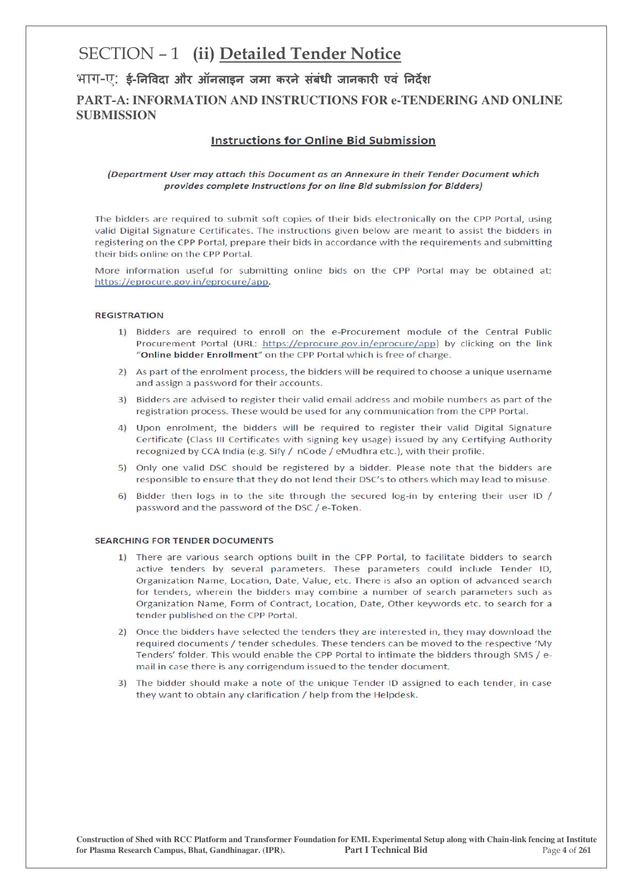# SECTION - 1 (ii) Detailed Tender Notice

भाग-ए: ई-निविदा और ऑनलाइन जमा करने संबंधी जानकारी एवं निर्देश **PART-A: INFORMATION AND INSTRUCTIONS FOR e-TENDERING AND ONLINE SUBMISSION**

#### **Instructions for Online Bid Submission**

#### (Department User may attach this Document as an Annexure in their Tender Document which provides complete Instructions for on line Bid submission for Bidders)

The bidders are required to submit soft copies of their bids electronically on the CPP Portal, using valid Digital Signature Certificates. The instructions given below are meant to assist the bidders in registering on the CPP Portal, prepare their bids in accordance with the requirements and submitting their bids online on the CPP Portal.

More information useful for submitting online bids on the CPP Portal may be obtained at: https://eprocure.gov.in/eprocure/app.

#### **REGISTRATION**

- 1) Bidders are required to enroll on the e-Procurement module of the Central Public Procurement Portal (URL: https://eprocure.gov.in/eprocure/app) by clicking on the link "Online bidder Enrollment" on the CPP Portal which is free of charge.
- 2) As part of the enrolment process, the bidders will be required to choose a unique username and assign a password for their accounts.
- 3) Bidders are advised to register their valid email address and mobile numbers as part of the registration process. These would be used for any communication from the CPP Portal.
- 4) Upon enrolment, the bidders will be required to register their valid Digital Signature Certificate (Class III Certificates with signing key usage) issued by any Certifying Authority recognized by CCA India (e.g. Sify / nCode / eMudhra etc.), with their profile.
- 5) Only one valid DSC should be registered by a bidder. Please note that the bidders are responsible to ensure that they do not lend their DSC's to others which may lead to misuse.
- 6) Bidder then logs in to the site through the secured log-in by entering their user ID / password and the password of the DSC / e-Token.

#### **SEARCHING FOR TENDER DOCUMENTS**

- 1) There are various search options built in the CPP Portal, to facilitate bidders to search active tenders by several parameters. These parameters could include Tender ID, Organization Name, Location, Date, Value, etc. There is also an option of advanced search for tenders, wherein the bidders may combine a number of search parameters such as Organization Name, Form of Contract, Location, Date, Other keywords etc. to search for a tender published on the CPP Portal.
- 2) Once the bidders have selected the tenders they are interested in, they may download the required documents / tender schedules. These tenders can be moved to the respective 'My Tenders' folder. This would enable the CPP Portal to intimate the bidders through SMS / email in case there is any corrigendum issued to the tender document.
- 3) The bidder should make a note of the unique Tender ID assigned to each tender, in case they want to obtain any clarification / help from the Helpdesk.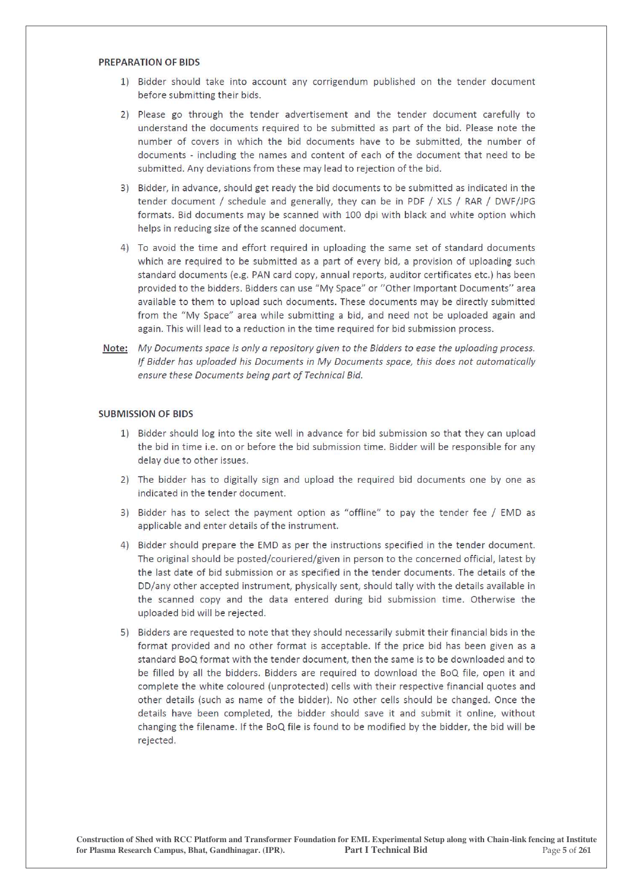#### **PREPARATION OF BIDS**

- 1) Bidder should take into account any corrigendum published on the tender document before submitting their bids.
- 2) Please go through the tender advertisement and the tender document carefully to understand the documents required to be submitted as part of the bid. Please note the number of covers in which the bid documents have to be submitted, the number of documents - including the names and content of each of the document that need to be submitted. Any deviations from these may lead to rejection of the bid.
- 3) Bidder, in advance, should get ready the bid documents to be submitted as indicated in the tender document / schedule and generally, they can be in PDF / XLS / RAR / DWF/JPG formats. Bid documents may be scanned with 100 dpi with black and white option which helps in reducing size of the scanned document.
- 4) To avoid the time and effort required in uploading the same set of standard documents which are required to be submitted as a part of every bid, a provision of uploading such standard documents (e.g. PAN card copy, annual reports, auditor certificates etc.) has been provided to the bidders. Bidders can use "My Space" or "Other Important Documents" area available to them to upload such documents. These documents may be directly submitted from the "My Space" area while submitting a bid, and need not be uploaded again and again. This will lead to a reduction in the time required for bid submission process.
- Note: My Documents space is only a repository given to the Bidders to ease the uploading process. If Bidder has uploaded his Documents in My Documents space, this does not automatically ensure these Documents being part of Technical Bid.

#### **SUBMISSION OF BIDS**

- 1) Bidder should log into the site well in advance for bid submission so that they can upload the bid in time i.e. on or before the bid submission time. Bidder will be responsible for any delay due to other issues.
- 2) The bidder has to digitally sign and upload the required bid documents one by one as indicated in the tender document.
- 3) Bidder has to select the payment option as "offline" to pay the tender fee / EMD as applicable and enter details of the instrument.
- 4) Bidder should prepare the EMD as per the instructions specified in the tender document. The original should be posted/couriered/given in person to the concerned official, latest by the last date of bid submission or as specified in the tender documents. The details of the DD/any other accepted instrument, physically sent, should tally with the details available in the scanned copy and the data entered during bid submission time. Otherwise the uploaded bid will be rejected.
- 5) Bidders are requested to note that they should necessarily submit their financial bids in the format provided and no other format is acceptable. If the price bid has been given as a standard BoQ format with the tender document, then the same is to be downloaded and to be filled by all the bidders. Bidders are required to download the BoQ file, open it and complete the white coloured (unprotected) cells with their respective financial quotes and other details (such as name of the bidder). No other cells should be changed. Once the details have been completed, the bidder should save it and submit it online, without changing the filename. If the BoQ file is found to be modified by the bidder, the bid will be rejected.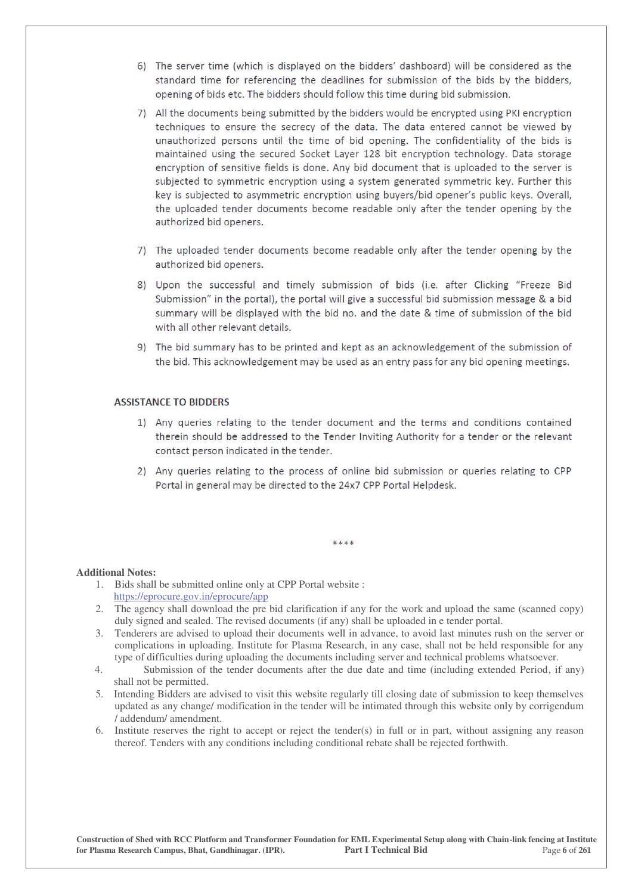- 6) The server time (which is displayed on the bidders' dashboard) will be considered as the standard time for referencing the deadlines for submission of the bids by the bidders, opening of bids etc. The bidders should follow this time during bid submission.
- 7) All the documents being submitted by the bidders would be encrypted using PKI encryption techniques to ensure the secrecy of the data. The data entered cannot be viewed by unauthorized persons until the time of bid opening. The confidentiality of the bids is maintained using the secured Socket Layer 128 bit encryption technology. Data storage encryption of sensitive fields is done. Any bid document that is uploaded to the server is subjected to symmetric encryption using a system generated symmetric key. Further this key is subjected to asymmetric encryption using buyers/bid opener's public keys. Overall, the uploaded tender documents become readable only after the tender opening by the authorized bid openers.
- 7) The uploaded tender documents become readable only after the tender opening by the authorized bid openers.
- 8) Upon the successful and timely submission of bids (i.e. after Clicking "Freeze Bid Submission" in the portal), the portal will give a successful bid submission message & a bid summary will be displayed with the bid no. and the date & time of submission of the bid with all other relevant details.
- 9) The bid summary has to be printed and kept as an acknowledgement of the submission of the bid. This acknowledgement may be used as an entry pass for any bid opening meetings.

#### **ASSISTANCE TO BIDDERS**

- 1) Any queries relating to the tender document and the terms and conditions contained therein should be addressed to the Tender Inviting Authority for a tender or the relevant contact person indicated in the tender.
- 2) Any queries relating to the process of online bid submission or queries relating to CPP Portal in general may be directed to the 24x7 CPP Portal Helpdesk.

#### **Additional Notes:**

- 1. Bids shall be submitted online only at CPP Portal website : https://eprocure.gov.in/eprocure/app
- 2. The agency shall download the pre bid clarification if any for the work and upload the same (scanned copy) duly signed and sealed. The revised documents (if any) shall be uploaded in e tender portal.

\*\*\*\*

- 3. Tenderers are advised to upload their documents well in advance, to avoid last minutes rush on the server or complications in uploading. Institute for Plasma Research, in any case, shall not be held responsible for any type of difficulties during uploading the documents including server and technical problems whatsoever.
- 4. Submission of the tender documents after the due date and time (including extended Period, if any) shall not be permitted.
- 5. Intending Bidders are advised to visit this website regularly till closing date of submission to keep themselves updated as any change/ modification in the tender will be intimated through this website only by corrigendum / addendum/ amendment.
- 6. Institute reserves the right to accept or reject the tender(s) in full or in part, without assigning any reason thereof. Tenders with any conditions including conditional rebate shall be rejected forthwith.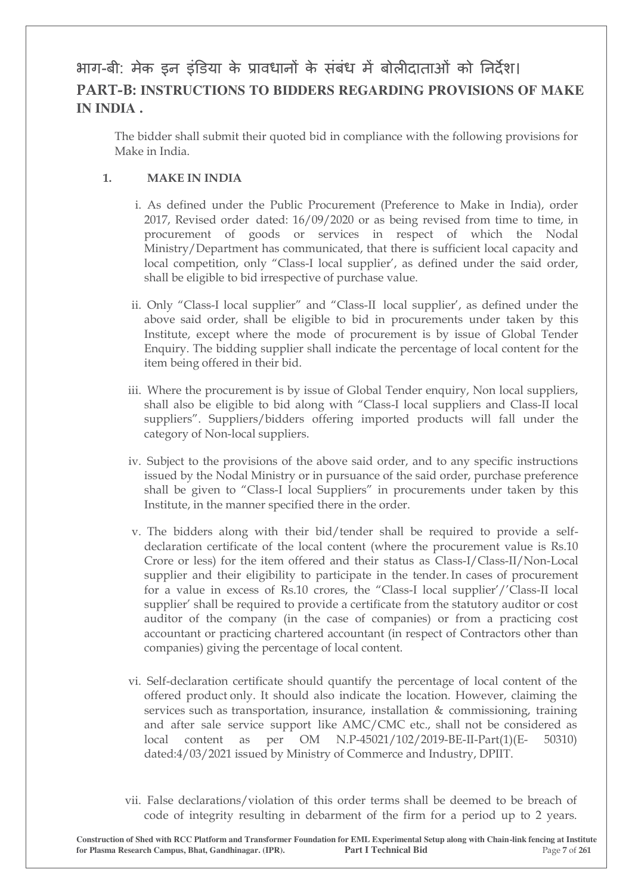# आग-बी: मेक इन इंडिया के प्रावधानों के संबंध में बोलीदाताओं को निर्देश। **PART-B: INSTRUCTIONS TO BIDDERS REGARDING PROVISIONS OF MAKE IN INDIA .**

The bidder shall submit their quoted bid in compliance with the following provisions for Make in India.

## **1. MAKE IN INDIA**

- i. As defined under the Public Procurement (Preference to Make in India), order 2017, Revised order dated: 16/09/2020 or as being revised from time to time, in procurement of goods or services in respect of which the Nodal Ministry/Department has communicated, that there is sufficient local capacity and local competition, only "Class-I local supplier', as defined under the said order, shall be eligible to bid irrespective of purchase value.
- ii. Only "Class-I local supplier" and "Class-II local supplier', as defined under the above said order, shall be eligible to bid in procurements under taken by this Institute, except where the mode of procurement is by issue of Global Tender Enquiry. The bidding supplier shall indicate the percentage of local content for the item being offered in their bid.
- iii. Where the procurement is by issue of Global Tender enquiry, Non local suppliers, shall also be eligible to bid along with "Class-I local suppliers and Class-II local suppliers". Suppliers/bidders offering imported products will fall under the category of Non-local suppliers.
- iv. Subject to the provisions of the above said order, and to any specific instructions issued by the Nodal Ministry or in pursuance of the said order, purchase preference shall be given to "Class-I local Suppliers" in procurements under taken by this Institute, in the manner specified there in the order.
- v. The bidders along with their bid/tender shall be required to provide a selfdeclaration certificate of the local content (where the procurement value is Rs.10 Crore or less) for the item offered and their status as Class-I/Class-II/Non-Local supplier and their eligibility to participate in the tender. In cases of procurement for a value in excess of Rs.10 crores, the "Class-I local supplier'/'Class-II local supplier' shall be required to provide a certificate from the statutory auditor or cost auditor of the company (in the case of companies) or from a practicing cost accountant or practicing chartered accountant (in respect of Contractors other than companies) giving the percentage of local content.
- vi. Self-declaration certificate should quantify the percentage of local content of the offered product only. It should also indicate the location. However, claiming the services such as transportation, insurance, installation & commissioning, training and after sale service support like AMC/CMC etc., shall not be considered as local content as per OM N.P-45021/102/2019-BE-II-Part(1)(E- 50310) dated:4/03/2021 issued by Ministry of Commerce and Industry, DPIIT.
- vii. False declarations/violation of this order terms shall be deemed to be breach of code of integrity resulting in debarment of the firm for a period up to 2 years.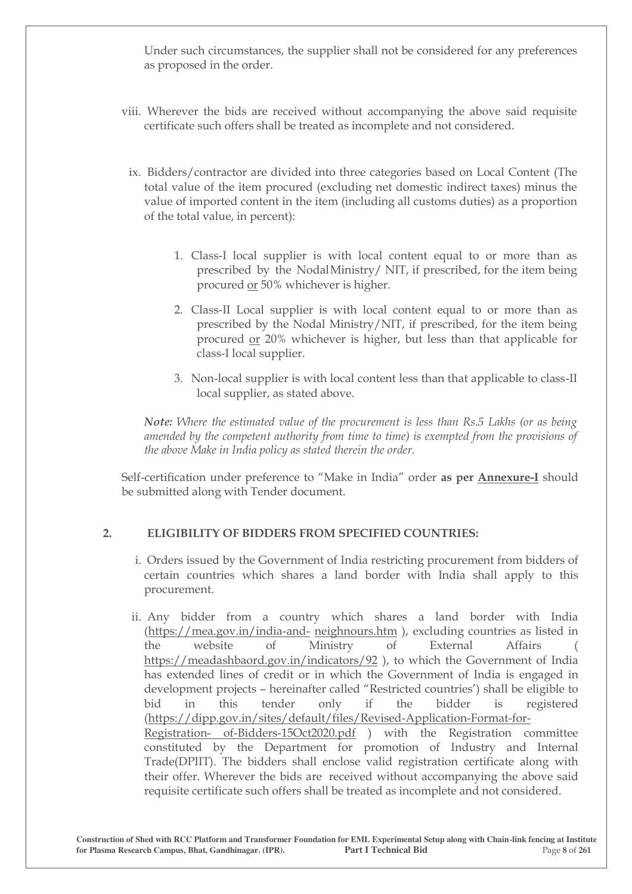Under such circumstances, the supplier shall not be considered for any preferences as proposed in the order.

- viii. Wherever the bids are received without accompanying the above said requisite certificate such offers shall be treated as incomplete and not considered.
	- ix. Bidders/contractor are divided into three categories based on Local Content (The total value of the item procured (excluding net domestic indirect taxes) minus the value of imported content in the item (including all customs duties) as a proportion of the total value, in percent):
		- 1. Class-I local supplier is with local content equal to or more than as prescribed by the Nodal Ministry/ NIT, if prescribed, for the item being procured or 50% whichever is higher.
		- 2. Class-II Local supplier is with local content equal to or more than as prescribed by the Nodal Ministry/NIT, if prescribed, for the item being procured or 20% whichever is higher, but less than that applicable for class-I local supplier.
		- 3. Non-local supplier is with local content less than that applicable to class-II local supplier, as stated above.

*Note: Where the estimated value of the procurement is less than Rs.5 Lakhs (or as being amended by the competent authority from time to time) is exempted from the provisions of the above Make in India policy as stated therein the order.* 

Self-certification under preference to "Make in India" order as per **Annexure-I** should be submitted along with Tender document.

## **2. ELIGIBILITY OF BIDDERS FROM SPECIFIED COUNTRIES:**

- i. Orders issued by the Government of India restricting procurement from bidders of certain countries which shares a land border with India shall apply to this procurement.
- ii. Any bidder from a country which shares a land border with India (https://mea.gov.in/india-and- neighnours.htm), excluding countries as listed in the website of Ministry of External Affairs ( https://meadashbaord.gov.in/indicators/92 ), to which the Government of India has extended lines of credit or in which the Government of India is engaged in development projects – hereinafter called "Restricted countries" shall be eligible to bid in this tender only if the bidder is registered (https://dipp.gov.in/sites/default/files/Revised-Application-Format-for-Registration- of-Bidders-15Oct2020.pdf ) with the Registration committee constituted by the Department for promotion of Industry and Internal Trade(DPIIT). The bidders shall enclose valid registration certificate along with their offer. Wherever the bids are received without accompanying the above said requisite certificate such offers shall be treated as incomplete and not considered.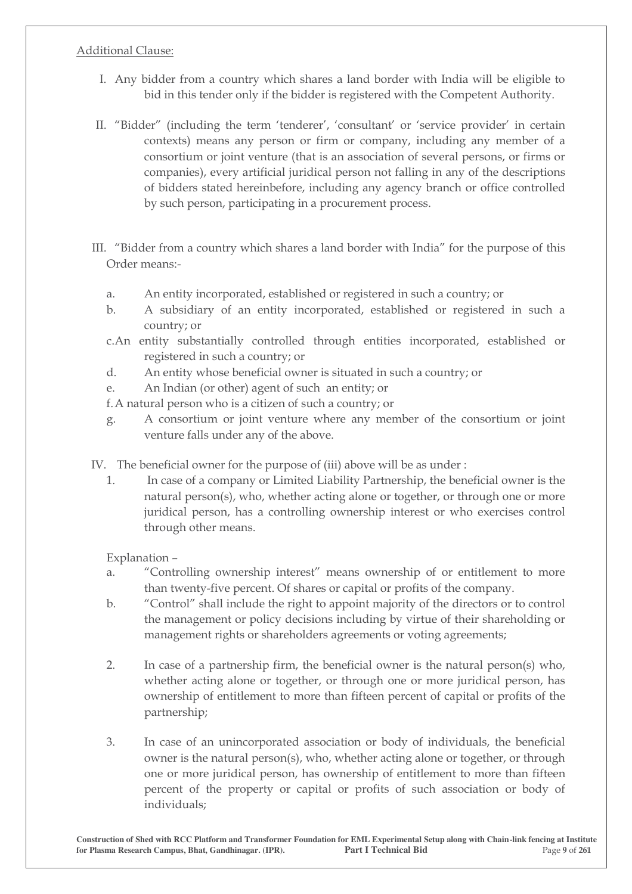## Additional Clause:

- I. Any bidder from a country which shares a land border with India will be eligible to bid in this tender only if the bidder is registered with the Competent Authority.
- II. "Bidder" (including the term 'tenderer', 'consultant' or 'service provider' in certain contexts) means any person or firm or company, including any member of a consortium or joint venture (that is an association of several persons, or firms or companies), every artificial juridical person not falling in any of the descriptions of bidders stated hereinbefore, including any agency branch or office controlled by such person, participating in a procurement process.
- III. "Bidder from a country which shares a land border with India" for the purpose of this Order means:
	- a. An entity incorporated, established or registered in such a country; or
	- b. A subsidiary of an entity incorporated, established or registered in such a country; or
	- c.An entity substantially controlled through entities incorporated, established or registered in such a country; or
	- d. An entity whose beneficial owner is situated in such a country; or
	- e. An Indian (or other) agent of such an entity; or

f.A natural person who is a citizen of such a country; or

g. A consortium or joint venture where any member of the consortium or joint venture falls under any of the above.

IV. The beneficial owner for the purpose of (iii) above will be as under :

1. In case of a company or Limited Liability Partnership, the beneficial owner is the natural person(s), who, whether acting alone or together, or through one or more juridical person, has a controlling ownership interest or who exercises control through other means.

Explanation  $-$ 

- a. "Controlling ownership interest" means ownership of or entitlement to more than twenty-five percent. Of shares or capital or profits of the company.
- b. "Control" shall include the right to appoint majority of the directors or to control the management or policy decisions including by virtue of their shareholding or management rights or shareholders agreements or voting agreements;
- 2. In case of a partnership firm, the beneficial owner is the natural person(s) who, whether acting alone or together, or through one or more juridical person, has ownership of entitlement to more than fifteen percent of capital or profits of the partnership;
- 3. In case of an unincorporated association or body of individuals, the beneficial owner is the natural person(s), who, whether acting alone or together, or through one or more juridical person, has ownership of entitlement to more than fifteen percent of the property or capital or profits of such association or body of individuals;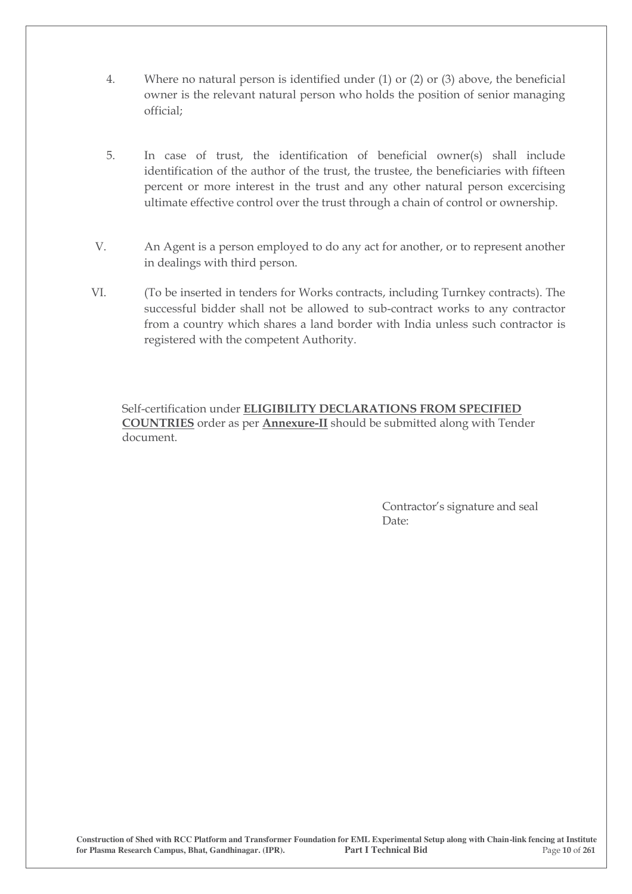- 4. Where no natural person is identified under (1) or (2) or (3) above, the beneficial owner is the relevant natural person who holds the position of senior managing official;
- 5. In case of trust, the identification of beneficial owner(s) shall include identification of the author of the trust, the trustee, the beneficiaries with fifteen percent or more interest in the trust and any other natural person excercising ultimate effective control over the trust through a chain of control or ownership.
- V. An Agent is a person employed to do any act for another, or to represent another in dealings with third person.
- VI. (To be inserted in tenders for Works contracts, including Turnkey contracts). The successful bidder shall not be allowed to sub-contract works to any contractor from a country which shares a land border with India unless such contractor is registered with the competent Authority.

Self-certification under **ELIGIBILITY DECLARATIONS FROM SPECIFIED COUNTRIES** order as per **Annexure-II** should be submitted along with Tender document.

> Contractor's signature and seal Date: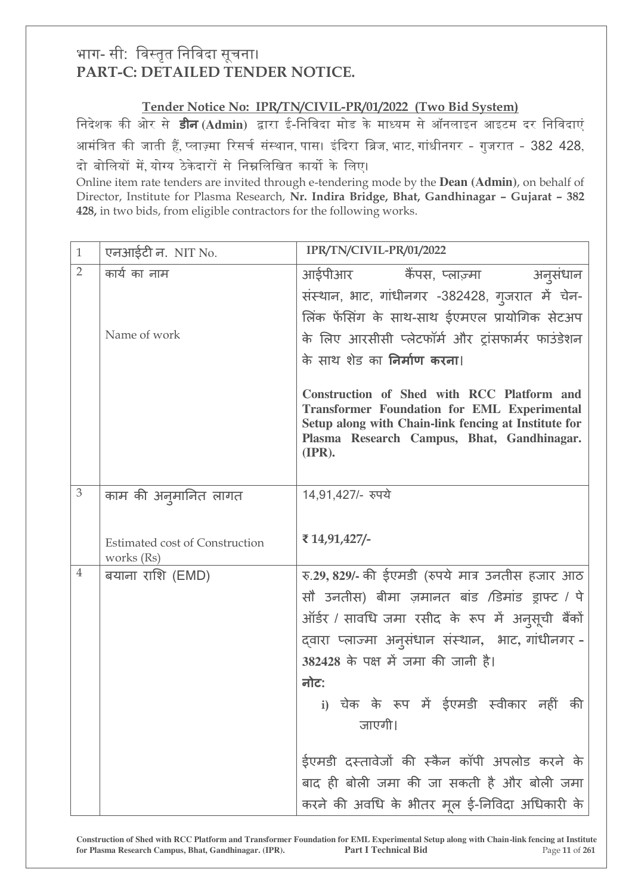# भाग- सी: विस्तृत निविदा सूचना। **PART-C: DETAILED TENDER NOTICE.**

## **Tender Notice No: IPR/TN/CIVIL-PR/01/2022 (Two Bid System)**

निदेशक की ओर से **डीन** (Admin) द्वारा ई-निविदा मोड के माध्यम से ऑनलाइन आइटम दर निविदाएं आमंत्रित की जाती हैं, प्लाज़्मा रिसर्च संस्थान, पास। इंदिरा ब्रिज, भाट, गांधीनगर - गुजरात - 382 428, दो बोलियों में योग्य ठेकेदारों से निम्नलिखित कार्यो के लिए।

Online item rate tenders are invited through e-tendering mode by the **Dean (Admin)**, on behalf of Director, Institute for Plasma Research, Nr. Indira Bridge, Bhat, Gandhinagar - Gujarat - 382 **428,** in two bids, from eligible contractors for the following works.

| $\mathbf{1}$   | एनआईटी न. NIT No.                                   | IPR/TN/CIVIL-PR/01/2022                                                                                                                                                                                                     |
|----------------|-----------------------------------------------------|-----------------------------------------------------------------------------------------------------------------------------------------------------------------------------------------------------------------------------|
| $\overline{2}$ | कार्य का नाम                                        | अनूसंधान<br>आईपीआर कैंपस, प्लाज़्मा                                                                                                                                                                                         |
|                |                                                     | संस्थान, भाट, गांधीनगर -382428, गुजरात में चेन-                                                                                                                                                                             |
|                |                                                     | लिंक फेंसिंग के साथ-साथ ईएमएल प्रायोगिक सेटअप                                                                                                                                                                               |
|                | Name of work                                        | के लिए आरसीसी प्लेटफॉर्म और ट्रांसफार्मर फाउंडेशन                                                                                                                                                                           |
|                |                                                     | के साथ शेड का निर्माण करना।                                                                                                                                                                                                 |
|                |                                                     | Construction of Shed with RCC Platform and<br><b>Transformer Foundation for EML Experimental</b><br>Setup along with Chain-link fencing at Institute for<br>Plasma Research Campus, Bhat, Gandhinagar.<br>$(\mathbf{IPR}).$ |
| $\mathfrak{Z}$ | काम की अनुमानित लागत                                | 14,91,427/- रुपये                                                                                                                                                                                                           |
|                |                                                     |                                                                                                                                                                                                                             |
|                | <b>Estimated cost of Construction</b><br>works (Rs) | ₹ 14,91,427/-                                                                                                                                                                                                               |
| $\overline{4}$ | बयाना राशि (EMD)                                    | रु.29, 829/- की ईएमडी (रुपये मात्र उनतीस हजार आठ                                                                                                                                                                            |
|                |                                                     | सौ उनतीस) बीमा ज़मानत बांड /डिमांड ड्राफ्ट / पे                                                                                                                                                                             |
|                |                                                     | ऑर्डर / सावधि जमा रसीद के रूप में अनुसूची बैंकों                                                                                                                                                                            |
|                |                                                     | द्वारा प्लाज्मा अनुसंधान संस्थान, भाट, गांधीनगर -                                                                                                                                                                           |
|                |                                                     | 382428 के पक्ष में जमा की जानी है।                                                                                                                                                                                          |
|                |                                                     | नोट:                                                                                                                                                                                                                        |
|                |                                                     | i) चेक के रूप में ईएमडी स्वीकार नहीं की                                                                                                                                                                                     |
|                |                                                     | जाएगी।                                                                                                                                                                                                                      |
|                |                                                     | ईएमडी दस्तावेजों की स्कैन कॉपी अपलोड करने के                                                                                                                                                                                |
|                |                                                     | बाद ही बोली जमा की जा सकती है और बोली जमा                                                                                                                                                                                   |
|                |                                                     | करने की अवधि के भीतर मूल ई-निविदा अधिकारी के                                                                                                                                                                                |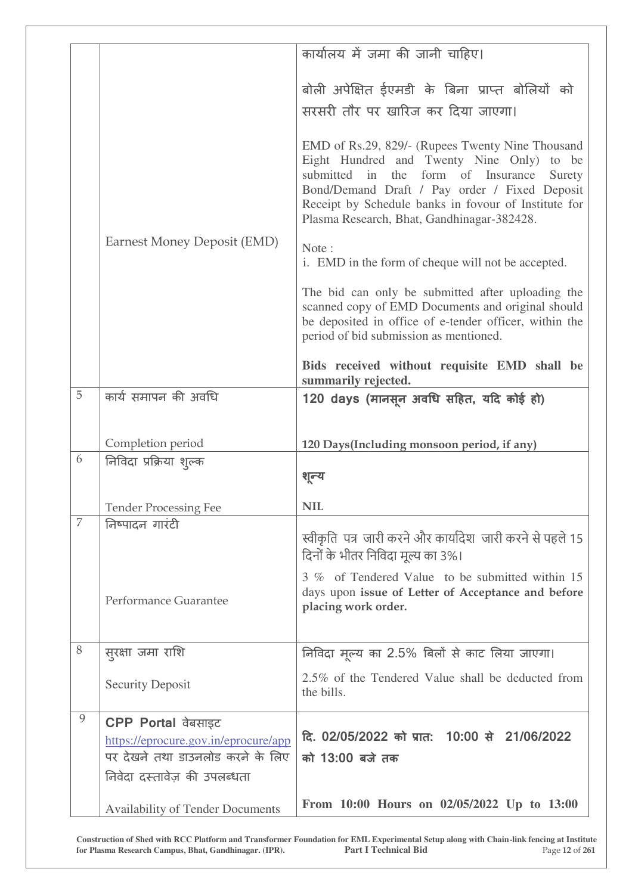|                |                                         | कार्यालय में जमा की जानी चाहिए।                                                                             |
|----------------|-----------------------------------------|-------------------------------------------------------------------------------------------------------------|
|                |                                         |                                                                                                             |
|                |                                         | बोली अपेक्षित ईएमडी के बिना प्राप्त बोलियों को                                                              |
|                |                                         | सरसरी तौर पर खारिज कर दिया जाएगा।                                                                           |
|                |                                         |                                                                                                             |
|                |                                         | EMD of Rs.29, 829/- (Rupees Twenty Nine Thousand                                                            |
|                |                                         | Eight Hundred and Twenty Nine Only) to be<br>the form of Insurance<br>submitted<br>in<br>Surety             |
|                |                                         | Bond/Demand Draft / Pay order / Fixed Deposit                                                               |
|                |                                         | Receipt by Schedule banks in fovour of Institute for<br>Plasma Research, Bhat, Gandhinagar-382428.          |
|                | Earnest Money Deposit (EMD)             |                                                                                                             |
|                |                                         | Note:                                                                                                       |
|                |                                         | i. EMD in the form of cheque will not be accepted.                                                          |
|                |                                         | The bid can only be submitted after uploading the                                                           |
|                |                                         | scanned copy of EMD Documents and original should<br>be deposited in office of e-tender officer, within the |
|                |                                         | period of bid submission as mentioned.                                                                      |
|                |                                         | Bids received without requisite EMD shall be                                                                |
|                |                                         | summarily rejected.                                                                                         |
| 5              | कार्य समापन की अवधि                     | 120 days (मानसून अवधि सहित, यदि कोई हो)                                                                     |
|                |                                         |                                                                                                             |
|                | Completion period                       | 120 Days(Including monsoon period, if any)                                                                  |
| 6              | निविदा प्रक्रिया शुल्क                  |                                                                                                             |
|                |                                         | शून्य                                                                                                       |
|                | <b>Tender Processing Fee</b>            | <b>NIL</b>                                                                                                  |
| $\overline{7}$ | निष्पादन गारंटी                         | स्वीकृति पत्र जारी करने और कार्यादेश जारी करने से पहले 15                                                   |
|                |                                         | दिनों के भीतर निविदा मूल्य का 3%।                                                                           |
|                |                                         | 3 % of Tendered Value to be submitted within 15                                                             |
|                | Performance Guarantee                   | days upon issue of Letter of Acceptance and before                                                          |
|                |                                         | placing work order.                                                                                         |
|                |                                         |                                                                                                             |
| $8\,$          | सुरक्षा जमा राशि                        | निविदा मूल्य का 2.5% बिलों से काट लिया जाएगा।                                                               |
|                | <b>Security Deposit</b>                 | 2.5% of the Tendered Value shall be deducted from                                                           |
|                |                                         | the bills.                                                                                                  |
| $\mathcal{G}$  | <b>CPP Portal वेबसाइट</b>               |                                                                                                             |
|                | https://eprocure.gov.in/eprocure/app    | दि. 02/05/2022 को प्रात: 10:00 से 21/06/2022                                                                |
|                | पर देखने तथा डाउनलोड करने के लिए        | को 13:00 बजे तक                                                                                             |
|                | निवेदा दस्तावेज़ की उपलब्धता            |                                                                                                             |
|                | <b>Availability of Tender Documents</b> | From 10:00 Hours on 02/05/2022 Up to 13:00                                                                  |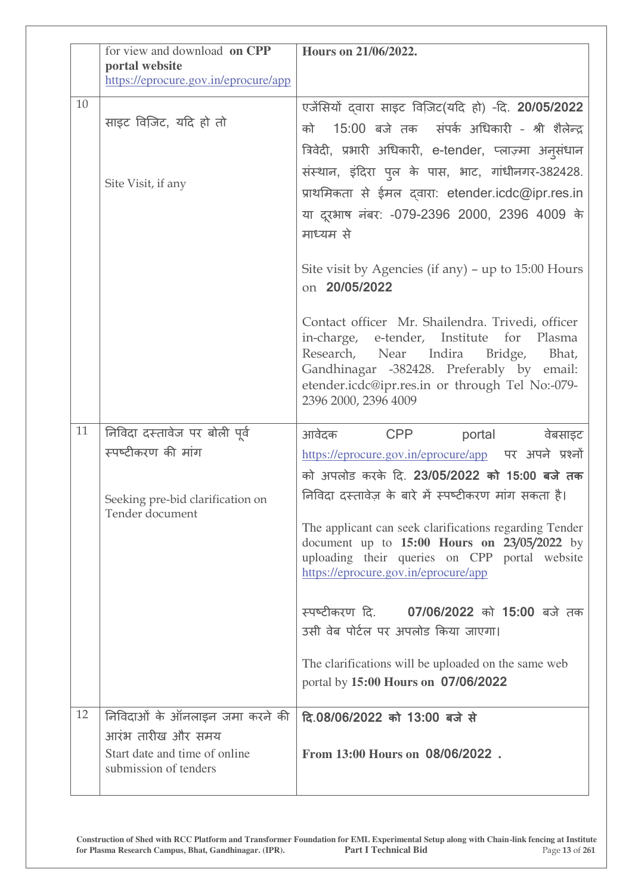|    | for view and download on CPP<br>portal website      | Hours on 21/06/2022.                                                                                                                                                                                                                                            |
|----|-----------------------------------------------------|-----------------------------------------------------------------------------------------------------------------------------------------------------------------------------------------------------------------------------------------------------------------|
|    | https://eprocure.gov.in/eprocure/app                |                                                                                                                                                                                                                                                                 |
| 10 |                                                     | एजेंसियों दवारा साइट विजिट(यदि हो) -दि. 20/05/2022                                                                                                                                                                                                              |
|    | साइट विजिट, यदि हो तो                               | 15:00 बजे तक संपर्क अधिकारी - श्री शैलेन्द्र<br>को                                                                                                                                                                                                              |
|    |                                                     | त्रिवेदी, प्रभारी अधिकारी, e-tender, प्लाज़्मा अनुसंधान                                                                                                                                                                                                         |
|    | Site Visit, if any                                  | संस्थान, इंदिरा पुल के पास, भाट, गांधीनगर-382428.                                                                                                                                                                                                               |
|    |                                                     | प्राथमिकता से ईमल दवारा: etender.icdc@ipr.res.in                                                                                                                                                                                                                |
|    |                                                     | या दूरभाष नंबर: -079-2396 2000, 2396 4009 के<br>माध्यम से                                                                                                                                                                                                       |
|    |                                                     | Site visit by Agencies (if any) $-$ up to 15:00 Hours<br>on 20/05/2022                                                                                                                                                                                          |
|    |                                                     | Contact officer Mr. Shailendra. Trivedi, officer<br>in-charge, e-tender, Institute for Plasma<br>Research, Near Indira Bridge,<br>Bhat,<br>Gandhinagar -382428. Preferably by email:<br>etender.icdc@ipr.res.in or through Tel No:-079-<br>2396 2000, 2396 4009 |
| 11 | निविदा दस्तावेज पर बोली पूर्व                       | आवेदक CPP<br>portal<br>वेबसाइट                                                                                                                                                                                                                                  |
|    | स्पष्टीकरण की मांग                                  | https://eprocure.gov.in/eprocure/app पर अपने प्रश्नों                                                                                                                                                                                                           |
|    |                                                     | को अपलोड करके दि. 23/05/2022 <b>को 15:00 बजे तक</b>                                                                                                                                                                                                             |
|    | Seeking pre-bid clarification on<br>Tender document | निविदा दस्तावेज़ के बारे में स्पष्टीकरण मांग सकता है।                                                                                                                                                                                                           |
|    |                                                     | The applicant can seek clarifications regarding Tender<br>document up to $15:00$ Hours on $23/05/2022$ by<br>uploading their queries on CPP portal website<br>https://eprocure.gov.in/eprocure/app                                                              |
|    |                                                     | स्पष्टीकरण दि. 07/06/2022 को 15:00 बजे तक<br>उसी वेब पोर्टल पर अपलोड किया जाएगा।                                                                                                                                                                                |
|    |                                                     | The clarifications will be uploaded on the same web                                                                                                                                                                                                             |
|    |                                                     | portal by 15:00 Hours on 07/06/2022                                                                                                                                                                                                                             |
| 12 | निविदाओं के ऑनलाइन जमा करने की<br>आरंभ तारीख और समय | दि.08/06/2022 को 13:00 बजे से                                                                                                                                                                                                                                   |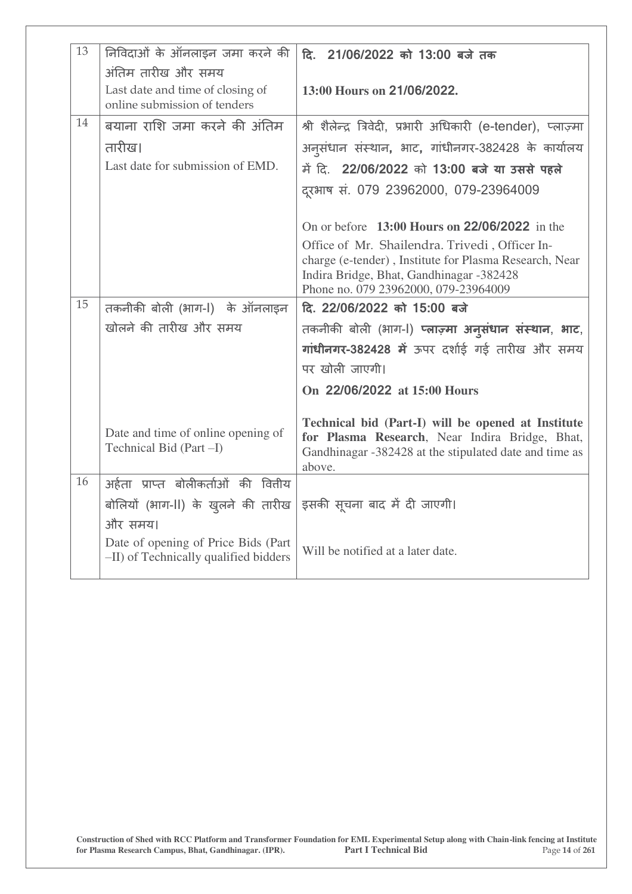| 13 | निविदाओं के ऑनलाइन जमा करने की                                               | दि. 21/06/2022 को 13:00 बजे तक                                                                                                                                                               |
|----|------------------------------------------------------------------------------|----------------------------------------------------------------------------------------------------------------------------------------------------------------------------------------------|
|    | अंतिम तारीख और समय                                                           |                                                                                                                                                                                              |
|    | Last date and time of closing of<br>online submission of tenders             | 13:00 Hours on 21/06/2022.                                                                                                                                                                   |
| 14 | बयाना राशि जमा करने की अंतिम                                                 | श्री शैलेन्द्र त्रिवेदी, प्रभारी अधिकारी (e-tender), प्लाज़्मा                                                                                                                               |
|    | तारीख।                                                                       | अनुसंधान संस्थान, भाट, गांधीनगर-382428 के कार्यालय                                                                                                                                           |
|    | Last date for submission of EMD.                                             | में दि. 22/06/2022 को 13:00 बजे या उससे पहले                                                                                                                                                 |
|    |                                                                              | दूरभाष सं. 079 23962000, 079-23964009                                                                                                                                                        |
|    |                                                                              | On or before $13:00$ Hours on 22/06/2022 in the                                                                                                                                              |
|    |                                                                              | Office of Mr. Shailendra. Trivedi, Officer In-<br>charge (e-tender), Institute for Plasma Research, Near<br>Indira Bridge, Bhat, Gandhinagar -382428<br>Phone no. 079 23962000, 079-23964009 |
| 15 | तकनीकी बोली (भाग-l) के ऑनलाइन                                                | दि. 22/06/2022 को 15:00 बजे                                                                                                                                                                  |
|    | खोलने की तारीख और समय                                                        | तकनीकी बोली (भाग-l) प्लाज़्मा अनुसंधान संस्थान, भाट,                                                                                                                                         |
|    |                                                                              | गांधीनगर-382428 में ऊपर दर्शाई गई तारीख और समय                                                                                                                                               |
|    |                                                                              | पर खोली जाएगी।                                                                                                                                                                               |
|    |                                                                              | On 22/06/2022 at 15:00 Hours                                                                                                                                                                 |
|    | Date and time of online opening of<br>Technical Bid (Part -I)                | Technical bid (Part-I) will be opened at Institute<br>for Plasma Research, Near Indira Bridge, Bhat,<br>Gandhinagar -382428 at the stipulated date and time as<br>above.                     |
| 16 | अर्हता प्राप्त बोलीकर्ताओं की वितीय                                          |                                                                                                                                                                                              |
|    | बोलियों (भाग-II) के ख़ुलने की तारीख                                          | इसकी सूचना बाद में दी जाएगी।                                                                                                                                                                 |
|    | और समय।                                                                      |                                                                                                                                                                                              |
|    | Date of opening of Price Bids (Part<br>-II) of Technically qualified bidders | Will be notified at a later date.                                                                                                                                                            |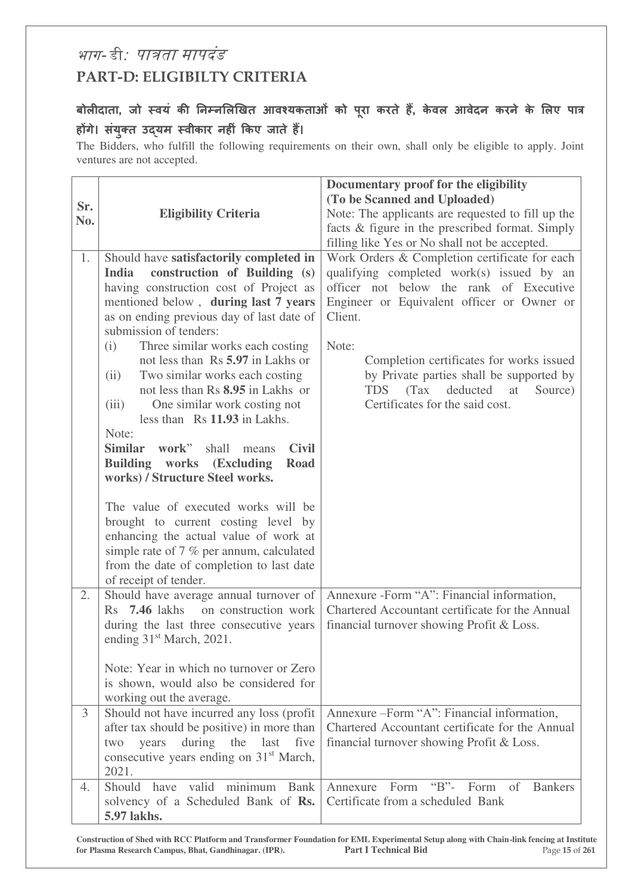# भाग- डी*: पात्रता मापदंड* **PART-D: ELIGIBILTY CRITERIA**

# बोलीदाता, जो स्वयं की निम्नलिखित आवश्यकताओं को पूरा करते हैं, केवल आवेदन करने के लिए पात्र होंगे। संयुक्त उद्**यम स्वीकार नहीं किए जाते हैं।**

The Bidders, who fulfill the following requirements on their own, shall only be eligible to apply. Joint ventures are not accepted.

| Sr.<br>No. | <b>Eligibility Criteria</b>                                                                                                                                                                                                                                                                                                                                                                                                                                                                                                                                                                                                            | Documentary proof for the eligibility<br>(To be Scanned and Uploaded)<br>Note: The applicants are requested to fill up the<br>facts & figure in the prescribed format. Simply<br>filling like Yes or No shall not be accepted.                                                                                                                                              |
|------------|----------------------------------------------------------------------------------------------------------------------------------------------------------------------------------------------------------------------------------------------------------------------------------------------------------------------------------------------------------------------------------------------------------------------------------------------------------------------------------------------------------------------------------------------------------------------------------------------------------------------------------------|-----------------------------------------------------------------------------------------------------------------------------------------------------------------------------------------------------------------------------------------------------------------------------------------------------------------------------------------------------------------------------|
| 1.         | Should have satisfactorily completed in<br>construction of Building (s)<br>India<br>having construction cost of Project as<br>mentioned below, during last 7 years<br>as on ending previous day of last date of<br>submission of tenders:<br>Three similar works each costing<br>(i)<br>not less than Rs 5.97 in Lakhs or<br>Two similar works each costing<br>(ii)<br>not less than Rs 8.95 in Lakhs or<br>One similar work costing not<br>(iii)<br>less than Rs 11.93 in Lakhs.<br>Note:<br><b>Similar</b><br>work"<br><b>Civil</b><br>shall<br>means<br>Building works (Excluding<br><b>Road</b><br>works) / Structure Steel works. | Work Orders & Completion certificate for each<br>qualifying completed work(s) issued by an<br>officer not below the rank of Executive<br>Engineer or Equivalent officer or Owner or<br>Client.<br>Note:<br>Completion certificates for works issued<br>by Private parties shall be supported by<br>TDS (Tax<br>deducted<br>at<br>Source)<br>Certificates for the said cost. |
|            | The value of executed works will be<br>brought to current costing level by<br>enhancing the actual value of work at<br>simple rate of $7\%$ per annum, calculated<br>from the date of completion to last date<br>of receipt of tender.                                                                                                                                                                                                                                                                                                                                                                                                 |                                                                                                                                                                                                                                                                                                                                                                             |
| 2.         | Should have average annual turnover of<br>on construction work<br>$Rs$ 7.46 lakhs<br>during the last three consecutive years<br>ending 31 <sup>st</sup> March, 2021.<br>Note: Year in which no turnover or Zero<br>is shown, would also be considered for                                                                                                                                                                                                                                                                                                                                                                              | Annexure - Form "A": Financial information,<br>Chartered Accountant certificate for the Annual<br>financial turnover showing Profit & Loss.                                                                                                                                                                                                                                 |
| 3          | working out the average.<br>Should not have incurred any loss (profit<br>after tax should be positive) in more than<br>during<br>the<br>last<br>five<br>years<br>two<br>consecutive years ending on 31 <sup>st</sup> March,<br>2021.                                                                                                                                                                                                                                                                                                                                                                                                   | Annexure - Form "A": Financial information,<br>Chartered Accountant certificate for the Annual<br>financial turnover showing Profit & Loss.                                                                                                                                                                                                                                 |
| 4.         | minimum<br>Should have<br>valid<br>Bank<br>solvency of a Scheduled Bank of Rs.<br>5.97 lakhs.                                                                                                                                                                                                                                                                                                                                                                                                                                                                                                                                          | $\mathrm{``B''}$ -<br>Form<br>Form of<br>Annexure<br><b>Bankers</b><br>Certificate from a scheduled Bank                                                                                                                                                                                                                                                                    |

**Construction of Shed with RCC Platform and Transformer Foundation for EML Experimental Setup along with Chain-link fencing at Institute for Plasma Research Campus, Bhat, Gandhinagar. (IPR). Part I Technical Bid** Page **15** of **261**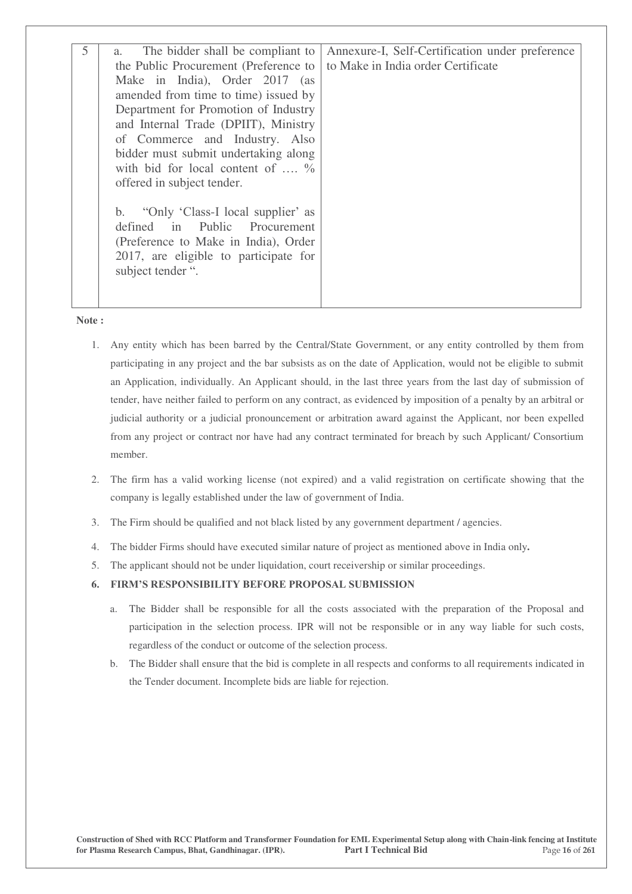| 5 | The bidder shall be compliant to<br>a.<br>the Public Procurement (Preference to<br>Make in India), Order 2017 (as<br>amended from time to time) issued by<br>Department for Promotion of Industry<br>and Internal Trade (DPIIT), Ministry<br>of Commerce and Industry. Also<br>bidder must submit undertaking along | Annexure-I, Self-Certification under preference<br>to Make in India order Certificate |
|---|---------------------------------------------------------------------------------------------------------------------------------------------------------------------------------------------------------------------------------------------------------------------------------------------------------------------|---------------------------------------------------------------------------------------|
|   | with bid for local content of $\ldots$ %<br>offered in subject tender.<br>"Only 'Class-I local supplier' as<br>b.<br>defined in Public<br>Procurement<br>(Preference to Make in India), Order<br>2017, are eligible to participate for<br>subject tender ".                                                         |                                                                                       |

**Note :** 

- 1. Any entity which has been barred by the Central/State Government, or any entity controlled by them from participating in any project and the bar subsists as on the date of Application, would not be eligible to submit an Application, individually. An Applicant should, in the last three years from the last day of submission of tender, have neither failed to perform on any contract, as evidenced by imposition of a penalty by an arbitral or judicial authority or a judicial pronouncement or arbitration award against the Applicant, nor been expelled from any project or contract nor have had any contract terminated for breach by such Applicant/ Consortium member.
- 2. The firm has a valid working license (not expired) and a valid registration on certificate showing that the company is legally established under the law of government of India.
- 3. The Firm should be qualified and not black listed by any government department / agencies.
- 4. The bidder Firms should have executed similar nature of project as mentioned above in India only**.**
- 5. The applicant should not be under liquidation, court receivership or similar proceedings.

#### **6. FIRM'S RESPONSIBILITY BEFORE PROPOSAL SUBMISSION**

- a. The Bidder shall be responsible for all the costs associated with the preparation of the Proposal and participation in the selection process. IPR will not be responsible or in any way liable for such costs, regardless of the conduct or outcome of the selection process.
- b. The Bidder shall ensure that the bid is complete in all respects and conforms to all requirements indicated in the Tender document. Incomplete bids are liable for rejection.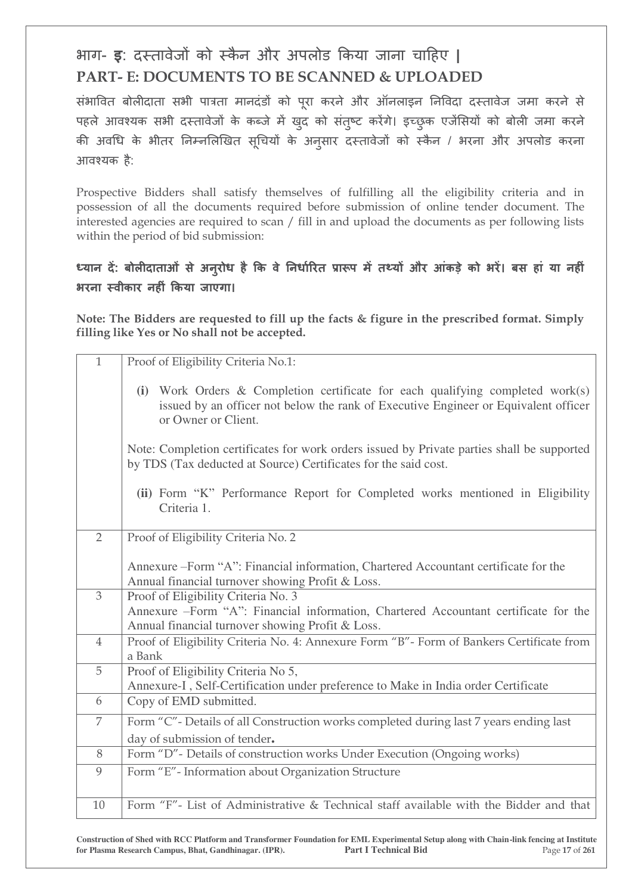# $\frac{1}{100}$ भाग- **ड**: दस्तावेजों को स्कैन और अपलोड किया जाना चाहिए | **PART- E: DOCUMENTS TO BE SCANNED & UPLOADED**

संभावित बोलीदाता सभी पात्रता मानदंडों को परा करने और ऑनलाइन निविदा दस्तावेज जमा करने से पहले आवश्यक सभी दस्तावेजों के कब्जे में खुद को संतुष्ट करेंगे। इच्छुक एजेंसियों को बोली जमा करने की अवधि के भीतर निम्नलिखित सूचियों के अनुसार दस्तावेजों को स्कैन / भरना और अपलोड करना आवश्यक है:

Prospective Bidders shall satisfy themselves of fulfilling all the eligibility criteria and in possession of all the documents required before submission of online tender document. The interested agencies are required to scan / fill in and upload the documents as per following lists within the period of bid submission:

## ध्यान दें: बोलीदाताओं से अनुरोध है कि वे निर्धारित प्रारूप में तथ्यों और आंकड़े को भरें। बस हां या नहीं **भरना स्वीकार नहीं किया जाएगा।**

**Note: The Bidders are requested to fill up the facts & figure in the prescribed format. Simply filling like Yes or No shall not be accepted.** 

| $\mathbf{1}$   | Proof of Eligibility Criteria No.1:                                                                                                                                                             |
|----------------|-------------------------------------------------------------------------------------------------------------------------------------------------------------------------------------------------|
|                | (i) Work Orders & Completion certificate for each qualifying completed work $(s)$<br>issued by an officer not below the rank of Executive Engineer or Equivalent officer<br>or Owner or Client. |
|                | Note: Completion certificates for work orders issued by Private parties shall be supported<br>by TDS (Tax deducted at Source) Certificates for the said cost.                                   |
|                | (ii) Form "K" Performance Report for Completed works mentioned in Eligibility<br>Criteria 1.                                                                                                    |
| $\overline{2}$ | Proof of Eligibility Criteria No. 2                                                                                                                                                             |
|                | Annexure – Form "A": Financial information, Chartered Accountant certificate for the<br>Annual financial turnover showing Profit & Loss.                                                        |
| $\overline{3}$ | Proof of Eligibility Criteria No. 3<br>Annexure -Form "A": Financial information, Chartered Accountant certificate for the<br>Annual financial turnover showing Profit & Loss.                  |
| $\overline{4}$ | Proof of Eligibility Criteria No. 4: Annexure Form "B"- Form of Bankers Certificate from<br>a Bank                                                                                              |
| 5              | Proof of Eligibility Criteria No 5,<br>Annexure-I, Self-Certification under preference to Make in India order Certificate                                                                       |
| 6              | Copy of EMD submitted.                                                                                                                                                                          |
| $\overline{7}$ | Form "C"- Details of all Construction works completed during last 7 years ending last<br>day of submission of tender.                                                                           |
| 8              | Form "D"- Details of construction works Under Execution (Ongoing works)                                                                                                                         |
| 9              | Form "E"-Information about Organization Structure                                                                                                                                               |
| 10             | Form "F"- List of Administrative & Technical staff available with the Bidder and that                                                                                                           |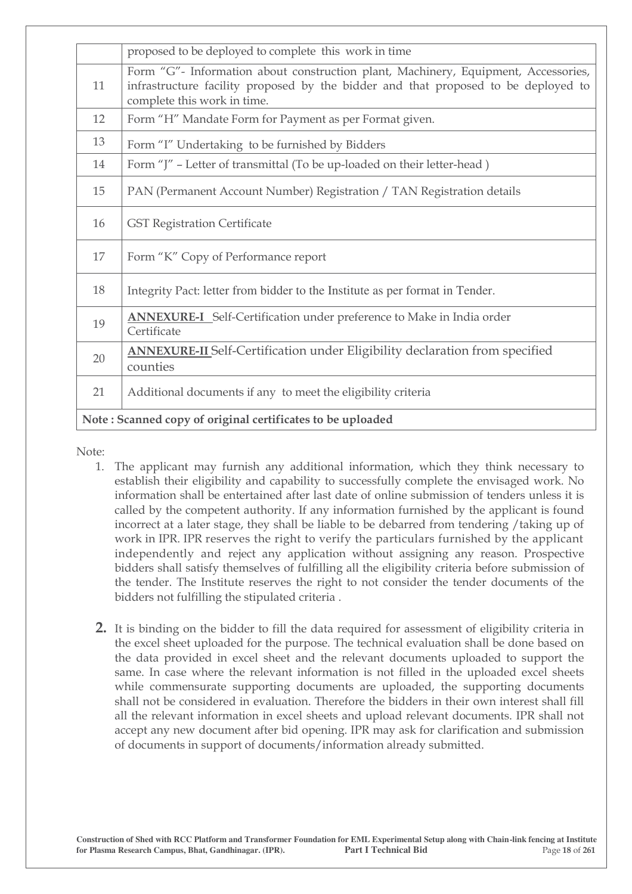|                                                            | proposed to be deployed to complete this work in time                                                                                                                                                   |  |
|------------------------------------------------------------|---------------------------------------------------------------------------------------------------------------------------------------------------------------------------------------------------------|--|
| 11                                                         | Form "G"- Information about construction plant, Machinery, Equipment, Accessories,<br>infrastructure facility proposed by the bidder and that proposed to be deployed to<br>complete this work in time. |  |
| 12                                                         | Form "H" Mandate Form for Payment as per Format given.                                                                                                                                                  |  |
| 13                                                         | Form "I" Undertaking to be furnished by Bidders                                                                                                                                                         |  |
| 14                                                         | Form "J" - Letter of transmittal (To be up-loaded on their letter-head)                                                                                                                                 |  |
| 15                                                         | PAN (Permanent Account Number) Registration / TAN Registration details                                                                                                                                  |  |
| 16                                                         | <b>GST Registration Certificate</b>                                                                                                                                                                     |  |
| 17                                                         | Form "K" Copy of Performance report                                                                                                                                                                     |  |
| 18                                                         | Integrity Pact: letter from bidder to the Institute as per format in Tender.                                                                                                                            |  |
| 19                                                         | <b>ANNEXURE-I</b> Self-Certification under preference to Make in India order<br>Certificate                                                                                                             |  |
| 20                                                         | <b>ANNEXURE-II</b> Self-Certification under Eligibility declaration from specified<br>counties                                                                                                          |  |
| 21                                                         | Additional documents if any to meet the eligibility criteria                                                                                                                                            |  |
| Note: Scanned copy of original certificates to be uploaded |                                                                                                                                                                                                         |  |

Note:

- 1. The applicant may furnish any additional information, which they think necessary to establish their eligibility and capability to successfully complete the envisaged work. No information shall be entertained after last date of online submission of tenders unless it is called by the competent authority. If any information furnished by the applicant is found incorrect at a later stage, they shall be liable to be debarred from tendering /taking up of work in IPR. IPR reserves the right to verify the particulars furnished by the applicant independently and reject any application without assigning any reason. Prospective bidders shall satisfy themselves of fulfilling all the eligibility criteria before submission of the tender. The Institute reserves the right to not consider the tender documents of the bidders not fulfilling the stipulated criteria .
- **2.** It is binding on the bidder to fill the data required for assessment of eligibility criteria in the excel sheet uploaded for the purpose. The technical evaluation shall be done based on the data provided in excel sheet and the relevant documents uploaded to support the same. In case where the relevant information is not filled in the uploaded excel sheets while commensurate supporting documents are uploaded, the supporting documents shall not be considered in evaluation. Therefore the bidders in their own interest shall fill all the relevant information in excel sheets and upload relevant documents. IPR shall not accept any new document after bid opening. IPR may ask for clarification and submission of documents in support of documents/information already submitted.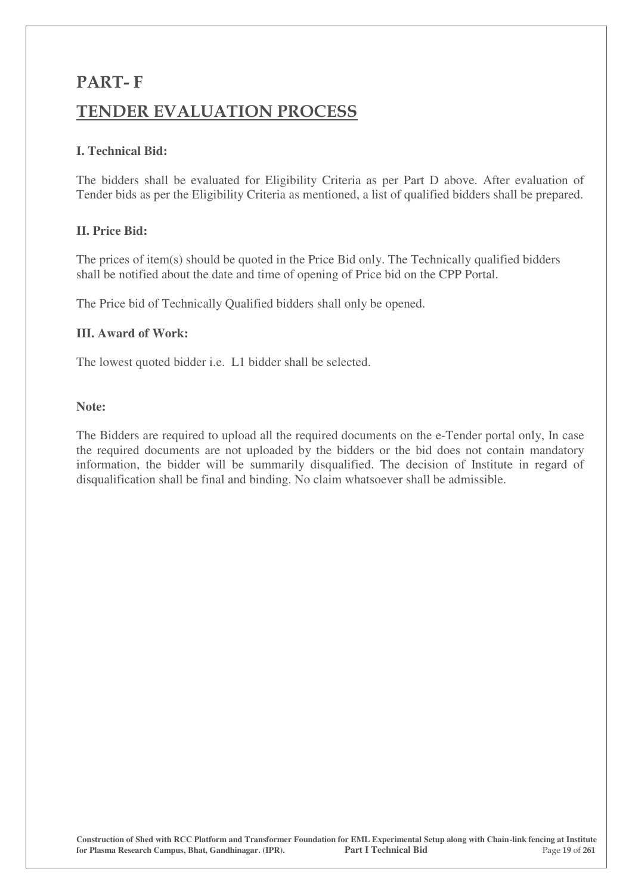# **PART- F TENDER EVALUATION PROCESS**

## **I. Technical Bid:**

The bidders shall be evaluated for Eligibility Criteria as per Part D above. After evaluation of Tender bids as per the Eligibility Criteria as mentioned, a list of qualified bidders shall be prepared.

## **II. Price Bid:**

The prices of item(s) should be quoted in the Price Bid only. The Technically qualified bidders shall be notified about the date and time of opening of Price bid on the CPP Portal.

The Price bid of Technically Qualified bidders shall only be opened.

## **III. Award of Work:**

The lowest quoted bidder i.e. L1 bidder shall be selected.

### **Note:**

The Bidders are required to upload all the required documents on the e-Tender portal only, In case the required documents are not uploaded by the bidders or the bid does not contain mandatory information, the bidder will be summarily disqualified. The decision of Institute in regard of disqualification shall be final and binding. No claim whatsoever shall be admissible.